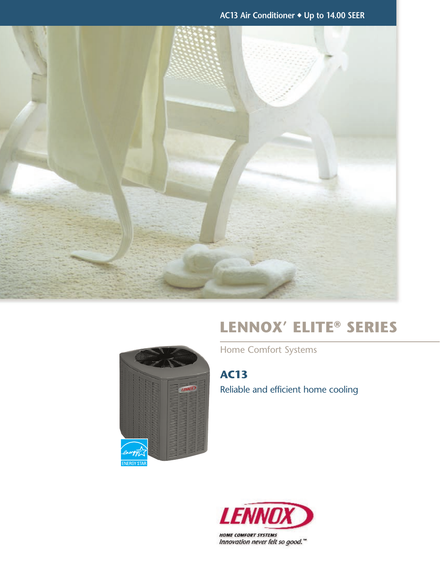**AC13 Air Conditioner** ◆ **Up to 14.00 SEER**



## **Lennox' Elite® Series**



Home Comfort Systems

**AC13** Reliable and efficient home cooling



**HOME COMFORT SYSTEMS** Innovation never felt so good."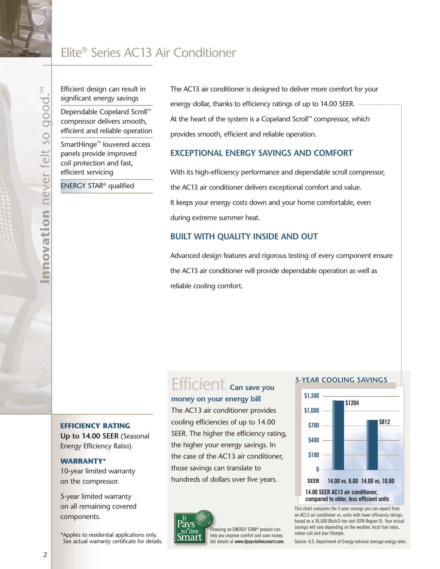## Elite® Series AC13 Air Conditioner

Efficient design can result in **Innovation** never felt so good.™ significant energy savings qood Dependable Copeland Scroll™ compressor delivers smooth, efficient and reliable operation never felt so SmartHinge™ louvered access panels provide improved coil protection and fast, efficient servicing ENERGY STAR® qualified nnovation

 $\geq$ 

The AC13 air conditioner is designed to deliver more comfort for your energy dollar, thanks to efficiency ratings of up to 14.00 SEER. At the heart of the system is a Copeland Scroll™ compressor, which provides smooth, efficient and reliable operation.

#### **Exceptional energy savings and comfort**

With its high-efficiency performance and dependable scroll compressor, the AC13 air conditioner delivers exceptional comfort and value. It keeps your energy costs down and your home comfortable, even during extreme summer heat.

#### **BUILT WITH QUALITY INSIDE AND OUT**

Advanced design features and rigorous testing of every component ensure the AC13 air conditioner will provide dependable operation as well as reliable cooling comfort.

#### **Efficiency rating**

**Up to 14.00 SEER** (Seasonal Energy Efficiency Ratio).

#### **Warranty\***

10-year limited warranty on the compressor.

5-year limited warranty on all remaining covered components.

\*Applies to residential applications only. See actual warranty certificate for details.

# Efficient **Can save you**

## **money on your energy bill**

The AC13 air conditioner provides cooling efficiencies of up to 14.00 SEER. The higher the efficiency rating, the higher your energy savings. In the case of the AC13 air conditioner, those savings can translate to hundreds of dollars over five years.



Choosing an ENERGY STAR® product can help you improve comfort and save money. Get details at *www.itpaystolivesmart.com.*

#### **5-year cooling savings**



This chart compares the 5-year savings you can expect from an AC13 air conditioner vs. units with lower efficiency ratings, based on a 36,000 Btuh/3-ton unit (EPA Region 9). Your actual savings will vary depending on the weather, local fuel rates, indoor coil and your lifestyle.

Source: U.S. Department of Energy national average energy rates.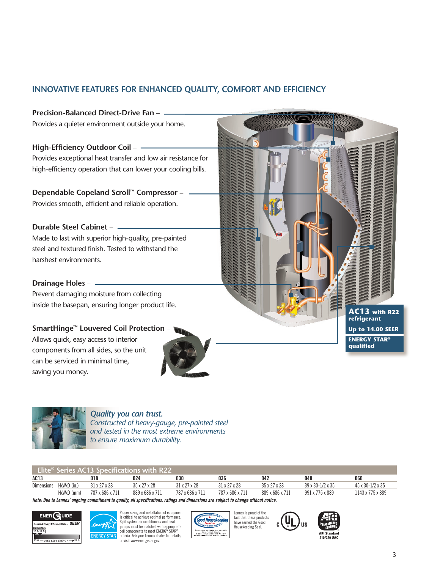## **INNOVATIVE FEATURES FOR ENHANCED QUALITY, COMFORT AND EFFICIENCY**





#### *Quality you can trust.*

*Constructed of heavy-gauge, pre-painted steel and tested in the most extreme environments to ensure maximum durability.*

| <b>Elite<sup>®</sup> Series AC13 Specifications with R22</b> |             |                          |                 |                          |                          |                 |                                |                                |
|--------------------------------------------------------------|-------------|--------------------------|-----------------|--------------------------|--------------------------|-----------------|--------------------------------|--------------------------------|
| AC13                                                         |             | 018                      | 024             | 030                      | 036                      | 042             | 048                            | 060                            |
| <b>Dimensions</b>                                            | HxWxD (in.) | $31 \times 27 \times 28$ | 35 x 27 x 28    | $31 \times 27 \times 28$ | $31 \times 27 \times 28$ | 35 x 27 x 28    | $39 \times 30 - 1/2 \times 35$ | $45 \times 30 - 1/2 \times 35$ |
|                                                              | HxWxD (mm)  | 787 x 686 x 711          | 889 x 686 x 711 | 787 x 686 x 711          | 787 x 686 x 711          | 889 x 686 x 711 | 991 x 775 x 889                | 1143 x 775 x 889               |

*Note: Due to Lennox' ongoing commitment to quality, all specifications, ratings and dimensions are subject to change without notice.*



Proper sizing and installation of equipment is critical to achieve optimal performance. Split system air conditioners and heat pumps must be matched with appropriate coil components to meet ENERGY STAR® criteria. Ask your Lennox dealer for details, or visit www.energystar.gov.



Lennox is proud of the fact that these products have earned the Good Housekeeping Seal.